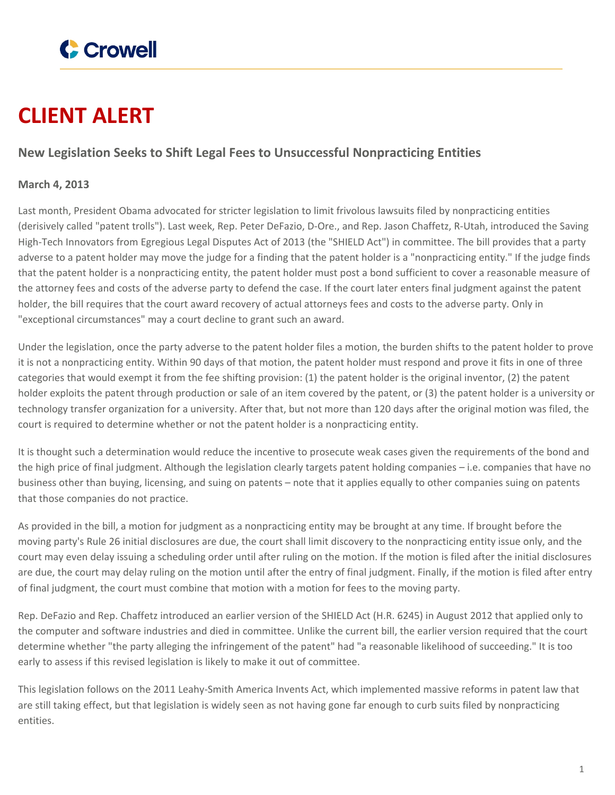

## **CLIENT ALERT**

## **New Legislation Seeks to Shift Legal Fees to Unsuccessful Nonpracticing Entities**

## **March 4, 2013**

Last month, President Obama advocated for stricter legislation to limit frivolous lawsuits filed by nonpracticing entities (derisively called "patent trolls"). Last week, Rep. Peter DeFazio, D-Ore., and Rep. Jason Chaffetz, R-Utah, introduced the Saving High-Tech Innovators from Egregious Legal Disputes Act of 2013 (the "SHIELD Act") in committee. The bill provides that a party adverse to a patent holder may move the judge for a finding that the patent holder is a "nonpracticing entity." If the judge finds that the patent holder is a nonpracticing entity, the patent holder must post a bond sufficient to cover a reasonable measure of the attorney fees and costs of the adverse party to defend the case. If the court later enters final judgment against the patent holder, the bill requires that the court award recovery of actual attorneys fees and costs to the adverse party. Only in "exceptional circumstances" may a court decline to grant such an award.

Under the legislation, once the party adverse to the patent holder files a motion, the burden shifts to the patent holder to prove it is not a nonpracticing entity. Within 90 days of that motion, the patent holder must respond and prove it fits in one of three categories that would exempt it from the fee shifting provision: (1) the patent holder is the original inventor, (2) the patent holder exploits the patent through production or sale of an item covered by the patent, or (3) the patent holder is a university or technology transfer organization for a university. After that, but not more than 120 days after the original motion was filed, the court is required to determine whether or not the patent holder is a nonpracticing entity.

It is thought such a determination would reduce the incentive to prosecute weak cases given the requirements of the bond and the high price of final judgment. Although the legislation clearly targets patent holding companies – i.e. companies that have no business other than buying, licensing, and suing on patents – note that it applies equally to other companies suing on patents that those companies do not practice.

As provided in the bill, a motion for judgment as a nonpracticing entity may be brought at any time. If brought before the moving party's Rule 26 initial disclosures are due, the court shall limit discovery to the nonpracticing entity issue only, and the court may even delay issuing a scheduling order until after ruling on the motion. If the motion is filed after the initial disclosures are due, the court may delay ruling on the motion until after the entry of final judgment. Finally, if the motion is filed after entry of final judgment, the court must combine that motion with a motion for fees to the moving party.

Rep. DeFazio and Rep. Chaffetz introduced an earlier version of the SHIELD Act (H.R. 6245) in August 2012 that applied only to the computer and software industries and died in committee. Unlike the current bill, the earlier version required that the court determine whether "the party alleging the infringement of the patent" had "a reasonable likelihood of succeeding." It is too early to assess if this revised legislation is likely to make it out of committee.

This legislation follows on the 2011 Leahy-Smith America Invents Act, which implemented massive reforms in patent law that are still taking effect, but that legislation is widely seen as not having gone far enough to curb suits filed by nonpracticing entities.